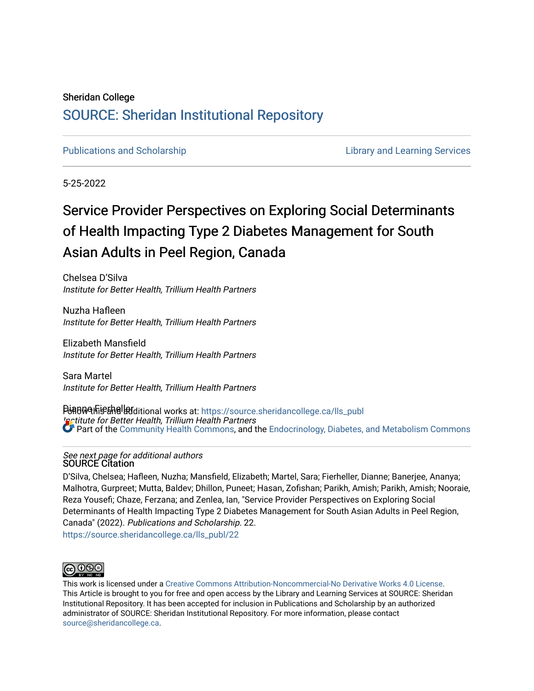## Sheridan College [SOURCE: Sheridan Institutional Repository](https://source.sheridancollege.ca/)

[Publications and Scholarship](https://source.sheridancollege.ca/lls_publ) **Library and Learning Services** Library and Learning Services

5-25-2022

# Service Provider Perspectives on Exploring Social Determinants of Health Impacting Type 2 Diabetes Management for South Asian Adults in Peel Region, Canada

Chelsea D'Silva Institute for Better Health, Trillium Health Partners

Nuzha Hafleen Institute for Better Health, Trillium Health Partners

Elizabeth Mansfield Institute for Better Health, Trillium Health Partners

Sara Martel Institute for Better Health, Trillium Health Partners

PinBMAhFishelladitional works at: https://source.sheridancollege.ca/lls\_publ **Institute for Better Health, Trillium Health Partners** Part of the [Community Health Commons,](https://network.bepress.com/hgg/discipline/714?utm_source=source.sheridancollege.ca%2Flls_publ%2F22&utm_medium=PDF&utm_campaign=PDFCoverPages) and the [Endocrinology, Diabetes, and Metabolism Commons](https://network.bepress.com/hgg/discipline/686?utm_source=source.sheridancollege.ca%2Flls_publ%2F22&utm_medium=PDF&utm_campaign=PDFCoverPages) 

### See next page for additional authors SOURCE Citation

D'Silva, Chelsea; Hafleen, Nuzha; Mansfield, Elizabeth; Martel, Sara; Fierheller, Dianne; Banerjee, Ananya; Malhotra, Gurpreet; Mutta, Baldev; Dhillon, Puneet; Hasan, Zofishan; Parikh, Amish; Parikh, Amish; Nooraie, Reza Yousefi; Chaze, Ferzana; and Zenlea, Ian, "Service Provider Perspectives on Exploring Social Determinants of Health Impacting Type 2 Diabetes Management for South Asian Adults in Peel Region, Canada" (2022). Publications and Scholarship. 22. [https://source.sheridancollege.ca/lls\\_publ/22](https://source.sheridancollege.ca/lls_publ/22?utm_source=source.sheridancollege.ca%2Flls_publ%2F22&utm_medium=PDF&utm_campaign=PDFCoverPages) 



This work is licensed under a [Creative Commons Attribution-Noncommercial-No Derivative Works 4.0 License.](https://creativecommons.org/licenses/by-nc-nd/4.0/) This Article is brought to you for free and open access by the Library and Learning Services at SOURCE: Sheridan Institutional Repository. It has been accepted for inclusion in Publications and Scholarship by an authorized administrator of SOURCE: Sheridan Institutional Repository. For more information, please contact [source@sheridancollege.ca.](mailto:source@sheridancollege.ca)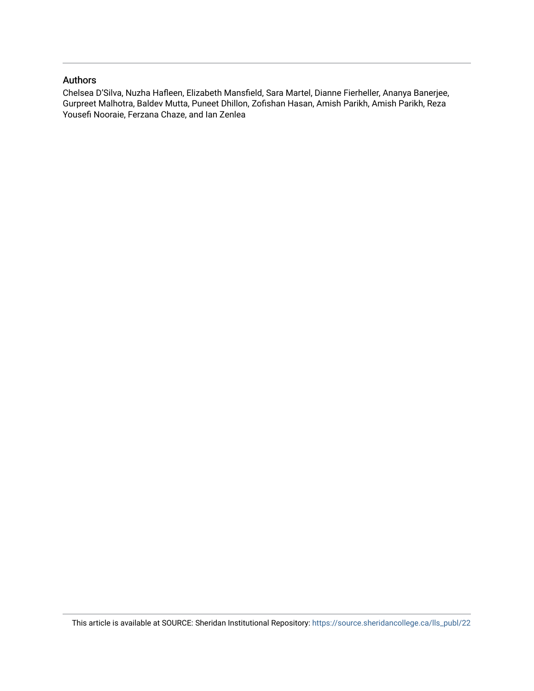### Authors

Chelsea D'Silva, Nuzha Hafleen, Elizabeth Mansfield, Sara Martel, Dianne Fierheller, Ananya Banerjee, Gurpreet Malhotra, Baldev Mutta, Puneet Dhillon, Zofishan Hasan, Amish Parikh, Amish Parikh, Reza Yousefi Nooraie, Ferzana Chaze, and Ian Zenlea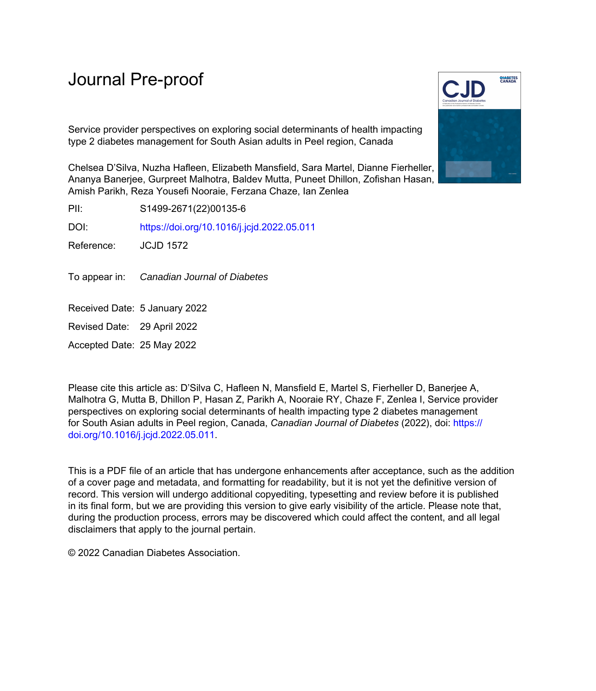Service provider perspectives on exploring social determinants of health impacting type 2 diabetes management for South Asian adults in Peel region, Canada

Chelsea D'Silva, Nuzha Hafleen, Elizabeth Mansfield, Sara Martel, Dianne Fierheller, Ananya Banerjee, Gurpreet Malhotra, Baldev Mutta, Puneet Dhillon, Zofishan Hasan, Amish Parikh, Reza Yousefi Nooraie, Ferzana Chaze, Ian Zenlea

PII: S1499-2671(22)00135-6

DOI: <https://doi.org/10.1016/j.jcjd.2022.05.011>

Reference: JCJD 1572

To appear in: Canadian Journal of Diabetes

Received Date: 5 January 2022

Revised Date: 29 April 2022

Accepted Date: 25 May 2022

Please cite this article as: D'Silva C, Hafleen N, Mansfield E, Martel S, Fierheller D, Banerjee A, Malhotra G, Mutta B, Dhillon P, Hasan Z, Parikh A, Nooraie RY, Chaze F, Zenlea I, Service provider perspectives on exploring social determinants of health impacting type 2 diabetes management for South Asian adults in Peel region, Canada, *Canadian Journal of Diabetes* (2022), doi: [https://](https://doi.org/10.1016/j.jcjd.2022.05.011) [doi.org/10.1016/j.jcjd.2022.05.011.](https://doi.org/10.1016/j.jcjd.2022.05.011)

This is a PDF file of an article that has undergone enhancements after acceptance, such as the addition of a cover page and metadata, and formatting for readability, but it is not yet the definitive version of record. This version will undergo additional copyediting, typesetting and review before it is published in its final form, but we are providing this version to give early visibility of the article. Please note that, during the production process, errors may be discovered which could affect the content, and all legal disclaimers that apply to the journal pertain.

© 2022 Canadian Diabetes Association.

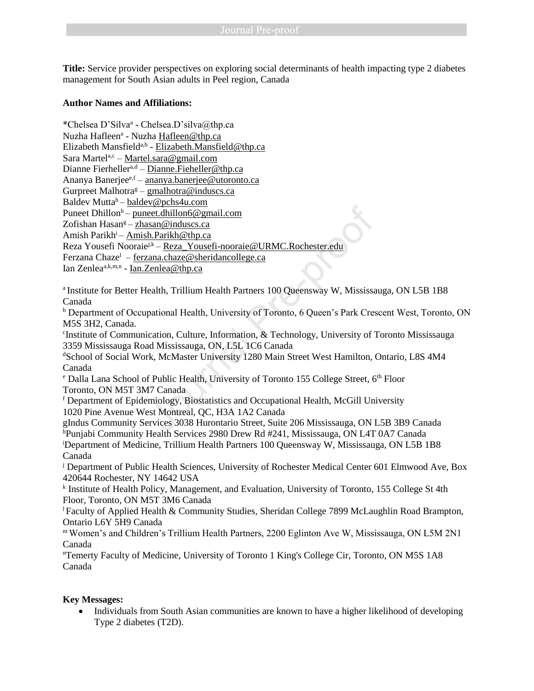**Title:** Service provider perspectives on exploring social determinants of health impacting type 2 diabetes management for South Asian adults in Peel region, Canada

### **Author Names and Affiliations:**

\*Chelsea D'Silva<sup>a</sup> - Chelsea.D'silva@thp.ca Nuzha Hafleen<sup>a</sup> - Nuzha <u>Hafleen@thp.ca</u> Elizabeth Mansfield<sup>a,b</sup> - <u>[Elizabeth.Mansfield@thp.ca](mailto:Elizabeth.Mansfield@thp.ca)</u> Sara Martel<sup>a,c</sup> – [Martel.sara@gmail.com](mailto:Martel.sara@gmail.com) Dianne Fierheller<sup>a,d</sup> – [Dianne.Fieheller@thp.ca](mailto:Dianne.Fieheller@thp.ca) Ananya Banerjee<sup>e,f</sup> – [ananya.banerjee@utoronto.ca](mailto:ananya.banerjee@utoronto.ca) Gurpreet Malhotra<sup>g</sup> – [gmalhotra@induscs.ca](mailto:gmalhotra@induscs.ca) Baldev Mutta<sup>h</sup>– [baldev@pchs4u.com](mailto:baldev@pchs4u.com) Puneet Dhillon<sup>h</sup>– [puneet.dhillon6@gmail.com](mailto:puneet.dhillon6@gmail.com) Zofishan Hasan<sup>g</sup> – zhasan@induscs.ca Amish Parikh<sup>i</sup>– [Amish.Parikh@thp.ca](mailto:Amish.Parikh@thp.ca) Reza Yousefi Nooraie<sup>j,k</sup> – Reza Yousefi-nooraie@URMC.Rochester.edu Ferzana Chaze<sup>l</sup> – ferzana.chaze@sheridancollege.ca Ian Zenlea<sup>a,k,m,n</sup> - <u>[Ian.Zenlea@thp.ca](mailto:Ian.Zenlea@thp.ca)</u> For Hammonton<br>
et dhillon6@gmail.com<br>
san@induscs.ca<br>
h.Parikh@thp.ca<br>  $j$ <sup>k</sup> – <u>Reza Yousefi-nooraie@URMC.Rochester.edu</u><br>
cana.chaze@sheridancollege.ca<br>
cenlea@thp.ca<br>
ealth, Trillium Health Partners 100 Queensway W, Mis

<sup>a</sup> Institute for Better Health, Trillium Health Partners 100 Queensway W, Mississauga, ON L5B 1B8 Canada

<sup>b</sup> Department of Occupational Health, University of Toronto, 6 Queen's Park Crescent West, Toronto, ON M5S 3H2, Canada.

c Institute of Communication, Culture, Information, & Technology, University of Toronto Mississauga 3359 Mississauga Road Mississauga, ON, L5L 1C6 Canada

<sup>d</sup>School of Social Work, McMaster University 1280 Main Street West Hamilton, Ontario, L8S 4M4 Canada

<sup>e</sup> Dalla Lana School of Public Health, University of Toronto 155 College Street, 6<sup>th</sup> Floor Toronto, ON M5T 3M7 Canada

 $f$  Department of Epidemiology, Biostatistics and Occupational Health, McGill University 1020 Pine Avenue West Montreal, QC, H3A 1A2 Canada

gIndus Community Services 3038 Hurontario Street, Suite 206 Mississauga, ON L5B 3B9 Canada <sup>h</sup>Punjabi Community Health Services 2980 Drew Rd #241, Mississauga, ON L4T 0A7 Canada <sup>i</sup>Department of Medicine, Trillium Health Partners 100 Queensway W, Mississauga, ON L5B 1B8 Canada

<sup>j</sup> Department of Public Health Sciences, University of Rochester Medical Center 601 Elmwood Ave, Box 420644 Rochester, NY 14642 USA

k Institute of Health Policy, Management, and Evaluation, University of Toronto, 155 College St 4th Floor, Toronto, ON M5T 3M6 Canada

<sup>l</sup> Faculty of Applied Health & Community Studies, Sheridan College 7899 McLaughlin Road Brampton, Ontario L6Y 5H9 Canada

<sup>m</sup>Women's and Children's Trillium Health Partners, 2200 Eglinton Ave W, Mississauga, ON L5M 2N1 Canada

<sup>n</sup>Temerty Faculty of Medicine, University of Toronto 1 King's College Cir, Toronto, ON M5S 1A8 Canada

### **Key Messages:**

• Individuals from South Asian communities are known to have a higher likelihood of developing Type 2 diabetes (T2D).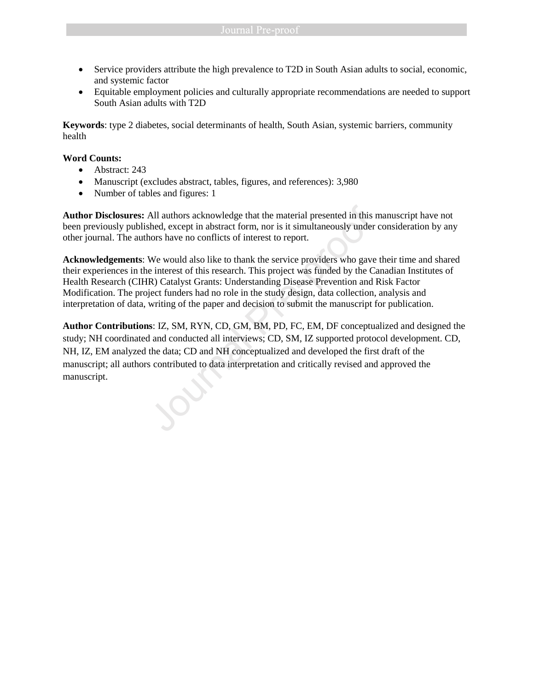- Service providers attribute the high prevalence to T2D in South Asian adults to social, economic, and systemic factor
- Equitable employment policies and culturally appropriate recommendations are needed to support South Asian adults with T2D

**Keywords**: type 2 diabetes, social determinants of health, South Asian, systemic barriers, community health

### **Word Counts:**

- Abstract: 243
- Manuscript (excludes abstract, tables, figures, and references): 3,980
- Number of tables and figures: 1

**Author Disclosures:** All authors acknowledge that the material presented in this manuscript have not been previously published, except in abstract form, nor is it simultaneously under consideration by any other journal. The authors have no conflicts of interest to report.

**Acknowledgements**: We would also like to thank the service providers who gave their time and shared their experiences in the interest of this research. This project was funded by the Canadian Institutes of Health Research (CIHR) Catalyst Grants: Understanding Disease Prevention and Risk Factor Modification. The project funders had no role in the study design, data collection, analysis and interpretation of data, writing of the paper and decision to submit the manuscript for publication.

**Author Contributions**: IZ, SM, RYN, CD, GM, BM, PD, FC, EM, DF conceptualized and designed the study; NH coordinated and conducted all interviews; CD, SM, IZ supported protocol development. CD, NH, IZ, EM analyzed the data; CD and NH conceptualized and developed the first draft of the manuscript; all authors contributed to data interpretation and critically revised and approved the manuscript. All authors acknowledge that the material presented in this shed, except in abstract form, nor is it simultaneously under hors have no conflicts of interest to report.<br>We would also like to thank the service providers who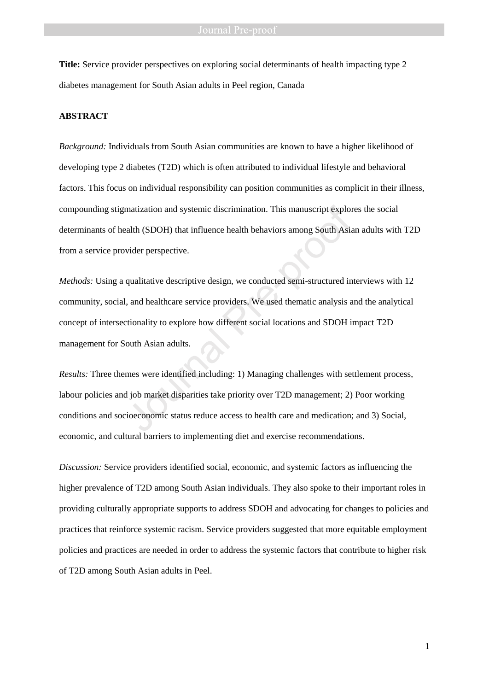**Title:** Service provider perspectives on exploring social determinants of health impacting type 2 diabetes management for South Asian adults in Peel region, Canada

### **ABSTRACT**

*Background:* Individuals from South Asian communities are known to have a higher likelihood of developing type 2 diabetes (T2D) which is often attributed to individual lifestyle and behavioral factors. This focus on individual responsibility can position communities as complicit in their illness, compounding stigmatization and systemic discrimination. This manuscript explores the social determinants of health (SDOH) that influence health behaviors among South Asian adults with T2D from a service provider perspective.

*Methods:* Using a qualitative descriptive design, we conducted semi-structured interviews with 12 community, social, and healthcare service providers. We used thematic analysis and the analytical concept of intersectionality to explore how different social locations and SDOH impact T2D management for South Asian adults. matization and systemic discrimination. This manuscript explored the (SDOH) that influence health behaviors among South Asia wider perspective.<br>
qualitative descriptive design, we conducted semi-structured in<br>
l, and healt

*Results:* Three themes were identified including: 1) Managing challenges with settlement process, labour policies and job market disparities take priority over T2D management; 2) Poor working conditions and socioeconomic status reduce access to health care and medication; and 3) Social, economic, and cultural barriers to implementing diet and exercise recommendations.

*Discussion:* Service providers identified social, economic, and systemic factors as influencing the higher prevalence of T2D among South Asian individuals. They also spoke to their important roles in providing culturally appropriate supports to address SDOH and advocating for changes to policies and practices that reinforce systemic racism. Service providers suggested that more equitable employment policies and practices are needed in order to address the systemic factors that contribute to higher risk of T2D among South Asian adults in Peel.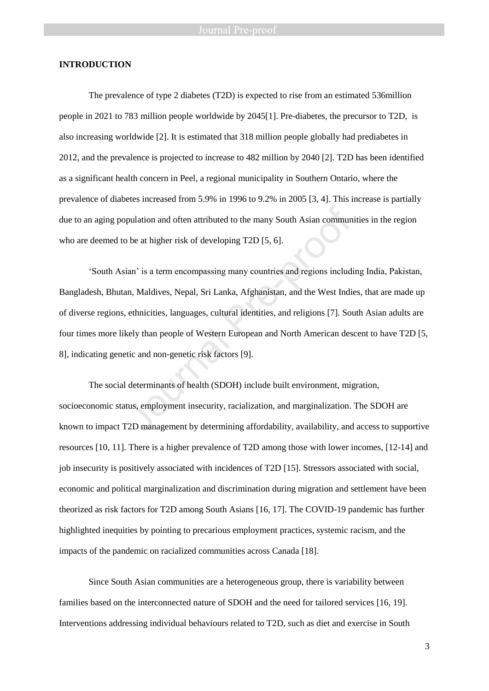### **INTRODUCTION**

The prevalence of type 2 diabetes (T2D) is expected to rise from an estimated 536million people in 2021 to 783 million people worldwide by 2045[1]. Pre-diabetes, the precursor to T2D, is also increasing worldwide [2]. It is estimated that 318 million people globally had prediabetes in 2012, and the prevalence is projected to increase to 482 million by 2040 [2]. T2D has been identified as a significant health concern in Peel, a regional municipality in Southern Ontario, where the prevalence of diabetes increased from 5.9% in 1996 to 9.2% in 2005 [3, 4]. This increase is partially due to an aging population and often attributed to the many South Asian communities in the region who are deemed to be at higher risk of developing T2D [5, 6].

'South Asian' is a term encompassing many countries and regions including India, Pakistan, Bangladesh, Bhutan, Maldives, Nepal, Sri Lanka, Afghanistan, and the West Indies, that are made up of diverse regions, ethnicities, languages, cultural identities, and religions [7]. South Asian adults are four times more likely than people of Western European and North American descent to have T2D [5, 8], indicating genetic and non-genetic risk factors [9]. pulation and often attributed to the many South Asian commun<br>
2 be at higher risk of developing T2D [5, 6].<br>
ian' is a term encompassing many countries and regions includ<br>
2 an, Maldives, Nepal, Sri Lanka, Afghanistan, and

The social determinants of health (SDOH) include built environment, migration, socioeconomic status, employment insecurity, racialization, and marginalization. The SDOH are known to impact T2D management by determining affordability, availability, and access to supportive resources [10, 11]. There is a higher prevalence of T2D among those with lower incomes, [12-14] and job insecurity is positively associated with incidences of T2D [15]. Stressors associated with social, economic and political marginalization and discrimination during migration and settlement have been theorized as risk factors for T2D among South Asians [16, 17]. The COVID-19 pandemic has further highlighted inequities by pointing to precarious employment practices, systemic racism, and the impacts of the pandemic on racialized communities across Canada [18].

Since South Asian communities are a heterogeneous group, there is variability between families based on the interconnected nature of SDOH and the need for tailored services [16, 19]. Interventions addressing individual behaviours related to T2D, such as diet and exercise in South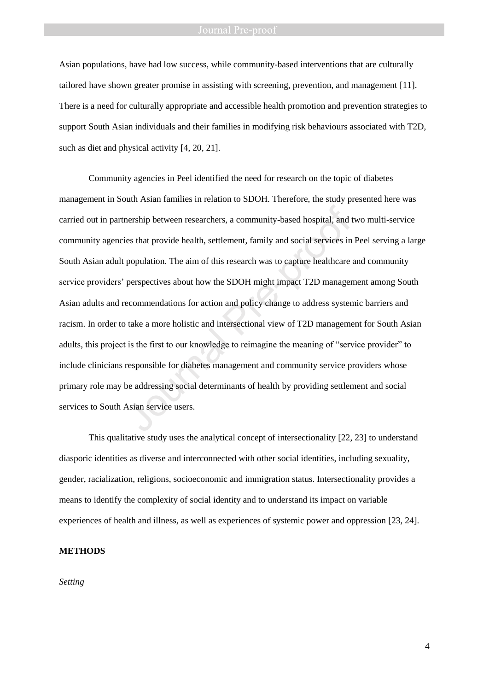Asian populations, have had low success, while community-based interventions that are culturally tailored have shown greater promise in assisting with screening, prevention, and management [11]. There is a need for culturally appropriate and accessible health promotion and prevention strategies to support South Asian individuals and their families in modifying risk behaviours associated with T2D, such as diet and physical activity [4, 20, 21].

Community agencies in Peel identified the need for research on the topic of diabetes management in South Asian families in relation to SDOH. Therefore, the study presented here was carried out in partnership between researchers, a community-based hospital, and two multi-service community agencies that provide health, settlement, family and social services in Peel serving a large South Asian adult population. The aim of this research was to capture healthcare and community service providers' perspectives about how the SDOH might impact T2D management among South Asian adults and recommendations for action and policy change to address systemic barriers and racism. In order to take a more holistic and intersectional view of T2D management for South Asian adults, this project is the first to our knowledge to reimagine the meaning of "service provider" to include clinicians responsible for diabetes management and community service providers whose primary role may be addressing social determinants of health by providing settlement and social services to South Asian service users. nership between researchers, a community-based hospital, and ties that provide health, settlement, family and social services in population. The aim of this research was to capture healthcare experspectives about how the S

This qualitative study uses the analytical concept of intersectionality [22, 23] to understand diasporic identities as diverse and interconnected with other social identities, including sexuality, gender, racialization, religions, socioeconomic and immigration status. Intersectionality provides a means to identify the complexity of social identity and to understand its impact on variable experiences of health and illness, as well as experiences of systemic power and oppression [23, 24].

### **METHODS**

*Setting*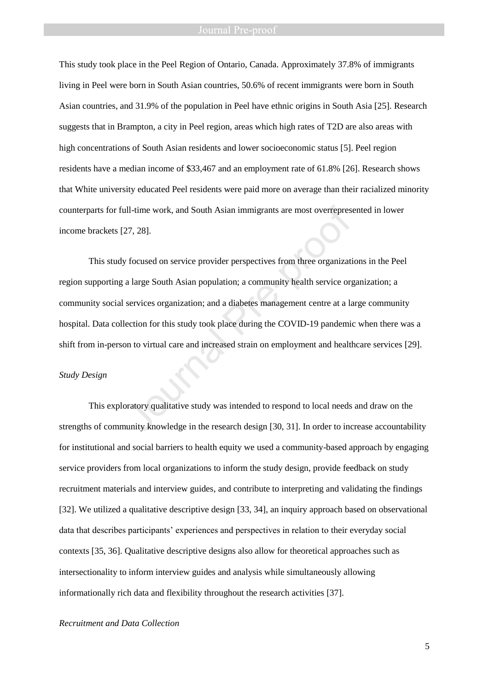This study took place in the Peel Region of Ontario, Canada. Approximately 37.8% of immigrants living in Peel were born in South Asian countries, 50.6% of recent immigrants were born in South Asian countries, and 31.9% of the population in Peel have ethnic origins in South Asia [25]. Research suggests that in Brampton, a city in Peel region, areas which high rates of T2D are also areas with high concentrations of South Asian residents and lower socioeconomic status [5]. Peel region residents have a median income of \$33,467 and an employment rate of 61.8% [26]. Research shows that White university educated Peel residents were paid more on average than their racialized minority counterparts for full-time work, and South Asian immigrants are most overrepresented in lower income brackets [27, 28].

This study focused on service provider perspectives from three organizations in the Peel region supporting a large South Asian population; a community health service organization; a community social services organization; and a diabetes management centre at a large community hospital. Data collection for this study took place during the COVID-19 pandemic when there was a shift from in-person to virtual care and increased strain on employment and healthcare services [29]. Ill-time work, and South Asian immigrants are most overrepresent and South Asian immigrants are most overrepresent and a focused on service provider perspectives from three organization and a diabeted management centre at

### *Study Design*

This exploratory qualitative study was intended to respond to local needs and draw on the strengths of community knowledge in the research design [30, 31]. In order to increase accountability for institutional and social barriers to health equity we used a community-based approach by engaging service providers from local organizations to inform the study design, provide feedback on study recruitment materials and interview guides, and contribute to interpreting and validating the findings [32]. We utilized a qualitative descriptive design [33, 34], an inquiry approach based on observational data that describes participants' experiences and perspectives in relation to their everyday social contexts [35, 36]. Qualitative descriptive designs also allow for theoretical approaches such as intersectionality to inform interview guides and analysis while simultaneously allowing informationally rich data and flexibility throughout the research activities [37].

### *Recruitment and Data Collection*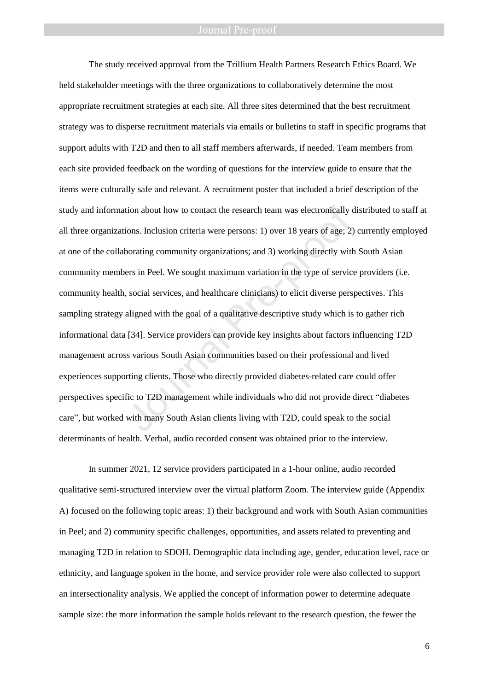The study received approval from the Trillium Health Partners Research Ethics Board. We held stakeholder meetings with the three organizations to collaboratively determine the most appropriate recruitment strategies at each site. All three sites determined that the best recruitment strategy was to disperse recruitment materials via emails or bulletins to staff in specific programs that support adults with T2D and then to all staff members afterwards, if needed. Team members from each site provided feedback on the wording of questions for the interview guide to ensure that the items were culturally safe and relevant. A recruitment poster that included a brief description of the study and information about how to contact the research team was electronically distributed to staff at all three organizations. Inclusion criteria were persons: 1) over 18 years of age; 2) currently employed at one of the collaborating community organizations; and 3) working directly with South Asian community members in Peel. We sought maximum variation in the type of service providers (i.e. community health, social services, and healthcare clinicians) to elicit diverse perspectives. This sampling strategy aligned with the goal of a qualitative descriptive study which is to gather rich informational data [34]. Service providers can provide key insights about factors influencing T2D management across various South Asian communities based on their professional and lived experiences supporting clients. Those who directly provided diabetes-related care could offer perspectives specific to T2D management while individuals who did not provide direct "diabetes care", but worked with many South Asian clients living with T2D, could speak to the social determinants of health. Verbal, audio recorded consent was obtained prior to the interview. tion about how to contact the research team was electronically<br>ions. Inclusion criteria were persons: 1) over 18 years of age; 2<br>borating community organizations; and 3) working directly with<br>ers in Peel. We sought maximum

In summer 2021, 12 service providers participated in a 1-hour online, audio recorded qualitative semi-structured interview over the virtual platform Zoom. The interview guide (Appendix A) focused on the following topic areas: 1) their background and work with South Asian communities in Peel; and 2) community specific challenges, opportunities, and assets related to preventing and managing T2D in relation to SDOH. Demographic data including age, gender, education level, race or ethnicity, and language spoken in the home, and service provider role were also collected to support an intersectionality analysis. We applied the concept of information power to determine adequate sample size: the more information the sample holds relevant to the research question, the fewer the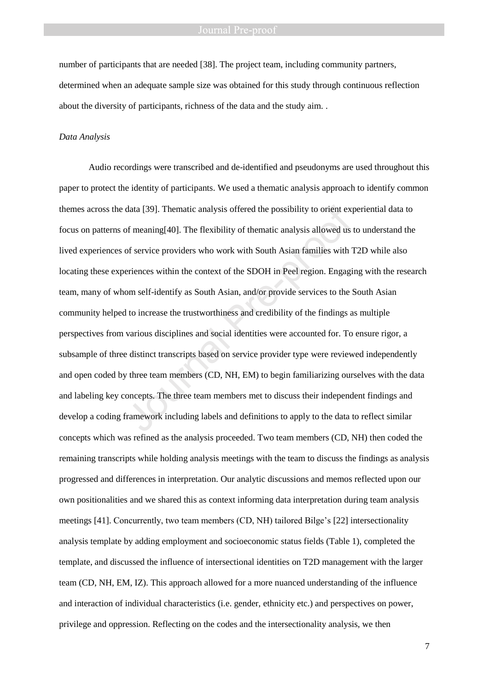number of participants that are needed [38]. The project team, including community partners, determined when an adequate sample size was obtained for this study through continuous reflection about the diversity of participants, richness of the data and the study aim. .

### *Data Analysis*

Audio recordings were transcribed and de-identified and pseudonyms are used throughout this paper to protect the identity of participants. We used a thematic analysis approach to identify common themes across the data [39]. Thematic analysis offered the possibility to orient experiential data to focus on patterns of meaning[40]. The flexibility of thematic analysis allowed us to understand the lived experiences of service providers who work with South Asian families with T2D while also locating these experiences within the context of the SDOH in Peel region. Engaging with the research team, many of whom self-identify as South Asian, and/or provide services to the South Asian community helped to increase the trustworthiness and credibility of the findings as multiple perspectives from various disciplines and social identities were accounted for. To ensure rigor, a subsample of three distinct transcripts based on service provider type were reviewed independently and open coded by three team members (CD, NH, EM) to begin familiarizing ourselves with the data and labeling key concepts. The three team members met to discuss their independent findings and develop a coding framework including labels and definitions to apply to the data to reflect similar concepts which was refined as the analysis proceeded. Two team members (CD, NH) then coded the remaining transcripts while holding analysis meetings with the team to discuss the findings as analysis progressed and differences in interpretation. Our analytic discussions and memos reflected upon our own positionalities and we shared this as context informing data interpretation during team analysis meetings [41]. Concurrently, two team members (CD, NH) tailored Bilge's [22] intersectionality analysis template by adding employment and socioeconomic status fields (Table 1), completed the template, and discussed the influence of intersectional identities on T2D management with the larger team (CD, NH, EM, IZ). This approach allowed for a more nuanced understanding of the influence and interaction of individual characteristics (i.e. gender, ethnicity etc.) and perspectives on power, privilege and oppression. Reflecting on the codes and the intersectionality analysis, we then data [39]. Thematic analysis offered the possibility to orient export meaning [40]. The flexibility of thematic analysis allowed us of service providers who work with South Asian families with reriences within the context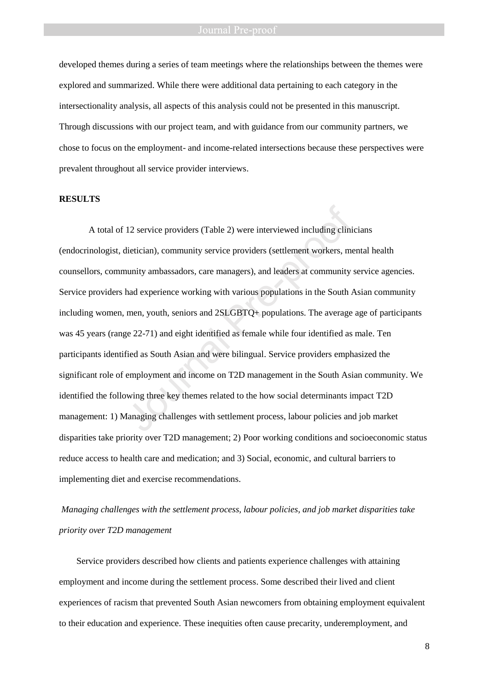developed themes during a series of team meetings where the relationships between the themes were explored and summarized. While there were additional data pertaining to each category in the intersectionality analysis, all aspects of this analysis could not be presented in this manuscript. Through discussions with our project team, and with guidance from our community partners, we chose to focus on the employment- and income-related intersections because these perspectives were prevalent throughout all service provider interviews.

### **RESULTS**

A total of 12 service providers (Table 2) were interviewed including clinicians (endocrinologist, dietician), community service providers (settlement workers, mental health counsellors, community ambassadors, care managers), and leaders at community service agencies. Service providers had experience working with various populations in the South Asian community including women, men, youth, seniors and 2SLGBTQ+ populations. The average age of participants was 45 years (range 22-71) and eight identified as female while four identified as male. Ten participants identified as South Asian and were bilingual. Service providers emphasized the significant role of employment and income on T2D management in the South Asian community. We identified the following three key themes related to the how social determinants impact T2D management: 1) Managing challenges with settlement process, labour policies and job market disparities take priority over T2D management; 2) Poor working conditions and socioeconomic status reduce access to health care and medication; and 3) Social, economic, and cultural barriers to implementing diet and exercise recommendations. 12 service providers (Table 2) were interviewed including clinidictician), community service providers (settlement workers, manunity ambassadors, care managers), and leaders at community had experience working with various

# *Managing challenges with the settlement process, labour policies, and job market disparities take priority over T2D management*

Service providers described how clients and patients experience challenges with attaining employment and income during the settlement process. Some described their lived and client experiences of racism that prevented South Asian newcomers from obtaining employment equivalent to their education and experience. These inequities often cause precarity, underemployment, and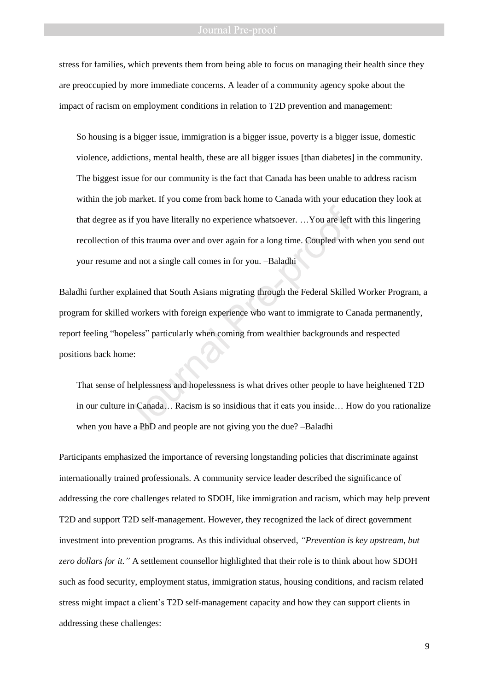stress for families, which prevents them from being able to focus on managing their health since they are preoccupied by more immediate concerns. A leader of a community agency spoke about the impact of racism on employment conditions in relation to T2D prevention and management:

So housing is a bigger issue, immigration is a bigger issue, poverty is a bigger issue, domestic violence, addictions, mental health, these are all bigger issues [than diabetes] in the community. The biggest issue for our community is the fact that Canada has been unable to address racism within the job market. If you come from back home to Canada with your education they look at that degree as if you have literally no experience whatsoever. …You are left with this lingering recollection of this trauma over and over again for a long time. Coupled with when you send out your resume and not a single call comes in for you. –Baladhi

Baladhi further explained that South Asians migrating through the Federal Skilled Worker Program, a program for skilled workers with foreign experience who want to immigrate to Canada permanently, report feeling "hopeless" particularly when coming from wealthier backgrounds and respected positions back home: is if you have literally no experience whatsoever. ... You are left<br>of this trauma over and over again for a long time. Coupled with<br>and not a single call comes in for you. --Baladhi<br>plained that South Asians migrating thr

That sense of helplessness and hopelessness is what drives other people to have heightened T2D in our culture in Canada… Racism is so insidious that it eats you inside… How do you rationalize when you have a PhD and people are not giving you the due? –Baladhi

Participants emphasized the importance of reversing longstanding policies that discriminate against internationally trained professionals. A community service leader described the significance of addressing the core challenges related to SDOH, like immigration and racism, which may help prevent T2D and support T2D self-management. However, they recognized the lack of direct government investment into prevention programs. As this individual observed, *"Prevention is key upstream, but zero dollars for it."* A settlement counsellor highlighted that their role is to think about how SDOH such as food security, employment status, immigration status, housing conditions, and racism related stress might impact a client's T2D self-management capacity and how they can support clients in addressing these challenges: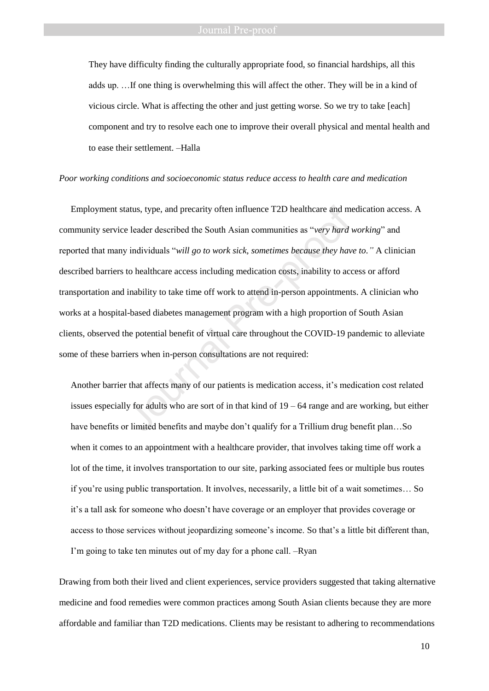They have difficulty finding the culturally appropriate food, so financial hardships, all this adds up. …If one thing is overwhelming this will affect the other. They will be in a kind of vicious circle. What is affecting the other and just getting worse. So we try to take [each] component and try to resolve each one to improve their overall physical and mental health and to ease their settlement. –Halla

### *Poor working conditions and socioeconomic status reduce access to health care and medication*

Employment status, type, and precarity often influence T2D healthcare and medication access. A community service leader described the South Asian communities as "*very hard working*" and reported that many individuals "*will go to work sick, sometimes because they have to."* A clinician described barriers to healthcare access including medication costs, inability to access or afford transportation and inability to take time off work to attend in-person appointments. A clinician who works at a hospital-based diabetes management program with a high proportion of South Asian clients, observed the potential benefit of virtual care throughout the COVID-19 pandemic to alleviate some of these barriers when in-person consultations are not required: atus, type, and precarity often influence T2D healthcare and move leader described the South Asian communities as "*very hard*  $\gamma$  individuals "*will go to work sick, sometimes because they hav* to healthcare access incl

Another barrier that affects many of our patients is medication access, it's medication cost related issues especially for adults who are sort of in that kind of 19 – 64 range and are working, but either have benefits or limited benefits and maybe don't qualify for a Trillium drug benefit plan…So when it comes to an appointment with a healthcare provider, that involves taking time off work a lot of the time, it involves transportation to our site, parking associated fees or multiple bus routes if you're using public transportation. It involves, necessarily, a little bit of a wait sometimes… So it's a tall ask for someone who doesn't have coverage or an employer that provides coverage or access to those services without jeopardizing someone's income. So that's a little bit different than, I'm going to take ten minutes out of my day for a phone call. –Ryan

Drawing from both their lived and client experiences, service providers suggested that taking alternative medicine and food remedies were common practices among South Asian clients because they are more affordable and familiar than T2D medications. Clients may be resistant to adhering to recommendations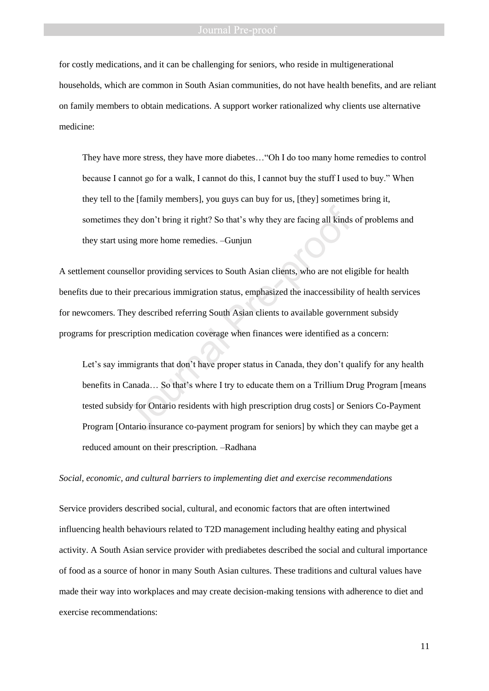for costly medications, and it can be challenging for seniors, who reside in multigenerational households, which are common in South Asian communities, do not have health benefits, and are reliant on family members to obtain medications. A support worker rationalized why clients use alternative medicine:

They have more stress, they have more diabetes…"Oh I do too many home remedies to control because I cannot go for a walk, I cannot do this, I cannot buy the stuff I used to buy." When they tell to the [family members], you guys can buy for us, [they] sometimes bring it, sometimes they don't bring it right? So that's why they are facing all kinds of problems and they start using more home remedies. –Gunjun

A settlement counsellor providing services to South Asian clients, who are not eligible for health benefits due to their precarious immigration status, emphasized the inaccessibility of health services for newcomers. They described referring South Asian clients to available government subsidy programs for prescription medication coverage when finances were identified as a concern:

Let's say immigrants that don't have proper status in Canada, they don't qualify for any health benefits in Canada… So that's where I try to educate them on a Trillium Drug Program [means tested subsidy for Ontario residents with high prescription drug costs] or Seniors Co-Payment Program [Ontario insurance co-payment program for seniors] by which they can maybe get a reduced amount on their prescription. –Radhana they don't bring it right? So that's why they are facing all kinds<br>sing more home remedies. --Gunjun<br>sellor providing services to South Asian clients, who are not eli<br>ir precarious immigration status, emphasized the inacce

### *Social, economic, and cultural barriers to implementing diet and exercise recommendations*

Service providers described social, cultural, and economic factors that are often intertwined influencing health behaviours related to T2D management including healthy eating and physical activity. A South Asian service provider with prediabetes described the social and cultural importance of food as a source of honor in many South Asian cultures. These traditions and cultural values have made their way into workplaces and may create decision-making tensions with adherence to diet and exercise recommendations: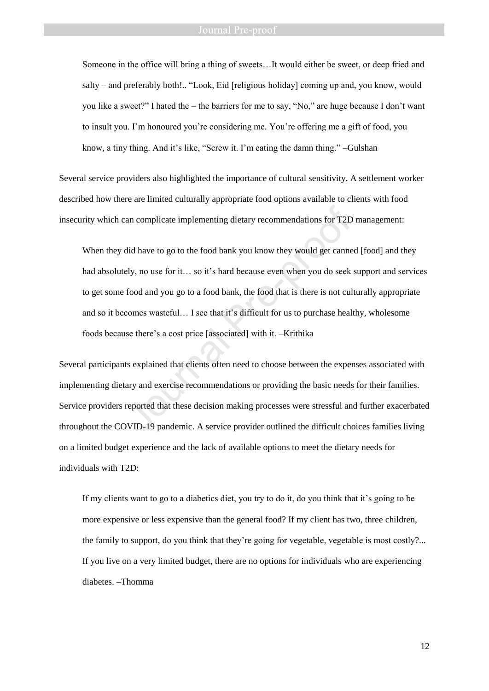Someone in the office will bring a thing of sweets…It would either be sweet, or deep fried and salty – and preferably both!.. "Look, Eid [religious holiday] coming up and, you know, would you like a sweet?" I hated the – the barriers for me to say, "No," are huge because I don't want to insult you. I'm honoured you're considering me. You're offering me a gift of food, you know, a tiny thing. And it's like, "Screw it. I'm eating the damn thing." –Gulshan

Several service providers also highlighted the importance of cultural sensitivity. A settlement worker described how there are limited culturally appropriate food options available to clients with food insecurity which can complicate implementing dietary recommendations for T2D management:

When they did have to go to the food bank you know they would get canned [food] and they had absolutely, no use for it… so it's hard because even when you do seek support and services to get some food and you go to a food bank, the food that is there is not culturally appropriate and so it becomes wasteful… I see that it's difficult for us to purchase healthy, wholesome foods because there's a cost price [associated] with it. –Krithika an complicate implementing dietary recommendations for T2D<br>did have to go to the food bank you know they would get canne<br>ely, no use for it... so it's hard because even when you do seek<br>food and you go to a food bank, the

Several participants explained that clients often need to choose between the expenses associated with implementing dietary and exercise recommendations or providing the basic needs for their families. Service providers reported that these decision making processes were stressful and further exacerbated throughout the COVID-19 pandemic. A service provider outlined the difficult choices families living on a limited budget experience and the lack of available options to meet the dietary needs for individuals with T2D:

If my clients want to go to a diabetics diet, you try to do it, do you think that it's going to be more expensive or less expensive than the general food? If my client has two, three children, the family to support, do you think that they're going for vegetable, vegetable is most costly?... If you live on a very limited budget, there are no options for individuals who are experiencing diabetes. –Thomma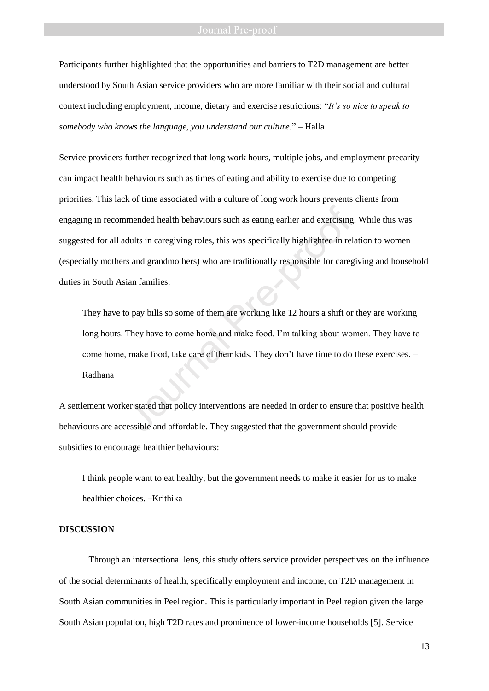Participants further highlighted that the opportunities and barriers to T2D management are better understood by South Asian service providers who are more familiar with their social and cultural context including employment, income, dietary and exercise restrictions: "*It's so nice to speak to somebody who knows the language, you understand our culture.*" – Halla

Service providers further recognized that long work hours, multiple jobs, and employment precarity can impact health behaviours such as times of eating and ability to exercise due to competing priorities. This lack of time associated with a culture of long work hours prevents clients from engaging in recommended health behaviours such as eating earlier and exercising. While this was suggested for all adults in caregiving roles, this was specifically highlighted in relation to women (especially mothers and grandmothers) who are traditionally responsible for caregiving and household duties in South Asian families: mended health behaviours such as eating earlier and exercising<br>dults in caregiving roles, this was specifically highlighted in rel<br>rs and grandmothers) who are traditionally responsible for carego<br>ian families:<br>o pay bills

They have to pay bills so some of them are working like 12 hours a shift or they are working long hours. They have to come home and make food. I'm talking about women. They have to come home, make food, take care of their kids. They don't have time to do these exercises. – Radhana

A settlement worker stated that policy interventions are needed in order to ensure that positive health behaviours are accessible and affordable. They suggested that the government should provide subsidies to encourage healthier behaviours:

I think people want to eat healthy, but the government needs to make it easier for us to make healthier choices. –Krithika

### **DISCUSSION**

Through an intersectional lens, this study offers service provider perspectives on the influence of the social determinants of health, specifically employment and income, on T2D management in South Asian communities in Peel region. This is particularly important in Peel region given the large South Asian population, high T2D rates and prominence of lower-income households [5]. Service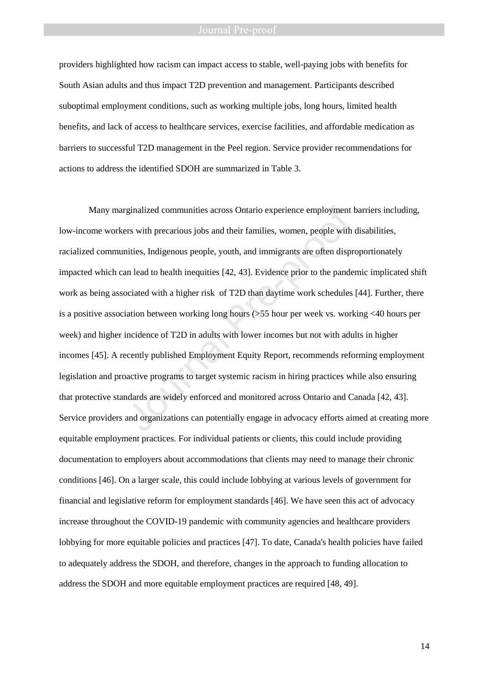providers highlighted how racism can impact access to stable, well-paying jobs with benefits for South Asian adults and thus impact T2D prevention and management. Participants described suboptimal employment conditions, such as working multiple jobs, long hours, limited health benefits, and lack of access to healthcare services, exercise facilities, and affordable medication as barriers to successful T2D management in the Peel region. Service provider recommendations for actions to address the identified SDOH are summarized in Table 3.

Many marginalized communities across Ontario experience employment barriers including, low-income workers with precarious jobs and their families, women, people with disabilities, racialized communities, Indigenous people, youth, and immigrants are often disproportionately impacted which can lead to health inequities [42, 43]. Evidence prior to the pandemic implicated shift work as being associated with a higher risk of T2D than daytime work schedules [44]. Further, there is a positive association between working long hours (>55 hour per week vs. working <40 hours per week) and higher incidence of T2D in adults with lower incomes but not with adults in higher incomes [45]. A recently published Employment Equity Report, recommends reforming employment legislation and proactive programs to target systemic racism in hiring practices while also ensuring that protective standards are widely enforced and monitored across Ontario and Canada [42, 43]. Service providers and organizations can potentially engage in advocacy efforts aimed at creating more equitable employment practices. For individual patients or clients, this could include providing documentation to employers about accommodations that clients may need to manage their chronic conditions [46]. On a larger scale, this could include lobbying at various levels of government for financial and legislative reform for employment standards [46]. We have seen this act of advocacy increase throughout the COVID-19 pandemic with community agencies and healthcare providers lobbying for more equitable policies and practices [47]. To date, Canada's health policies have failed to adequately address the SDOH, and therefore, changes in the approach to funding allocation to address the SDOH and more equitable employment practices are required [48, 49]. rginalized communities across Ontario experience employment<br>ers with precarious jobs and their families, women, people with<br>nities, Indigenous people, youth, and immigrants are often disp<br>an lead to health inequities [42,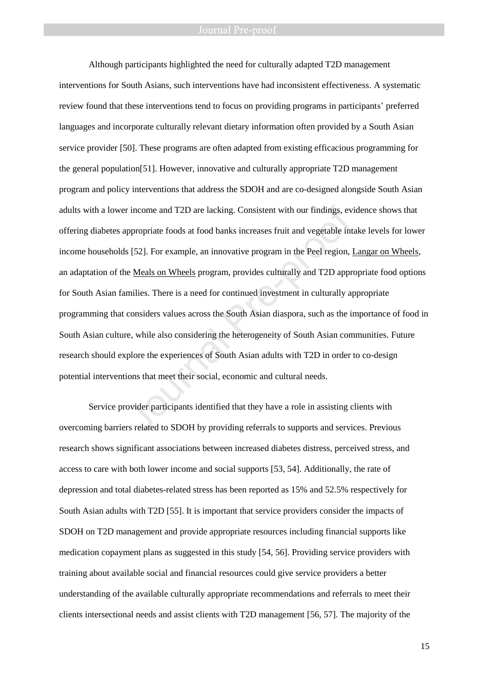Although participants highlighted the need for culturally adapted T2D management interventions for South Asians, such interventions have had inconsistent effectiveness. A systematic review found that these interventions tend to focus on providing programs in participants' preferred languages and incorporate culturally relevant dietary information often provided by a South Asian service provider [50]. These programs are often adapted from existing efficacious programming for the general population[51]. However, innovative and culturally appropriate T2D management program and policy interventions that address the SDOH and are co-designed alongside South Asian adults with a lower income and T2D are lacking. Consistent with our findings, evidence shows that offering diabetes appropriate foods at food banks increases fruit and vegetable intake levels for lower income households [52]. For example, an innovative program in the Peel region, [Langar on Wheels,](https://pchs4u.com/programs/langar-on-wheels/) an adaptation of the Meals on Wheels program, provides culturally and T2D appropriate food options for South Asian families. There is a need for continued investment in culturally appropriate programming that considers values across the South Asian diaspora, such as the importance of food in South Asian culture, while also considering the heterogeneity of South Asian communities. Future research should explore the experiences of South Asian adults with T2D in order to co-design potential interventions that meet their social, economic and cultural needs. r income and T2D are lacking. Consistent with our findings, ev<br>appropriate foods at food banks increases fruit and vegetable int<br>is [52]. For example, an innovative program in the Peel region,<br>i.e <u>Meals on Wheels</u> program

Service provider participants identified that they have a role in assisting clients with overcoming barriers related to SDOH by providing referrals to supports and services. Previous research shows significant associations between increased diabetes distress, perceived stress, and access to care with both lower income and social supports [53, 54]. Additionally, the rate of depression and total diabetes-related stress has been reported as 15% and 52.5% respectively for South Asian adults with T2D [55]. It is important that service providers consider the impacts of SDOH on T2D management and provide appropriate resources including financial supports like medication copayment plans as suggested in this study [54, 56]. Providing service providers with training about available social and financial resources could give service providers a better understanding of the available culturally appropriate recommendations and referrals to meet their clients intersectional needs and assist clients with T2D management [56, 57]. The majority of the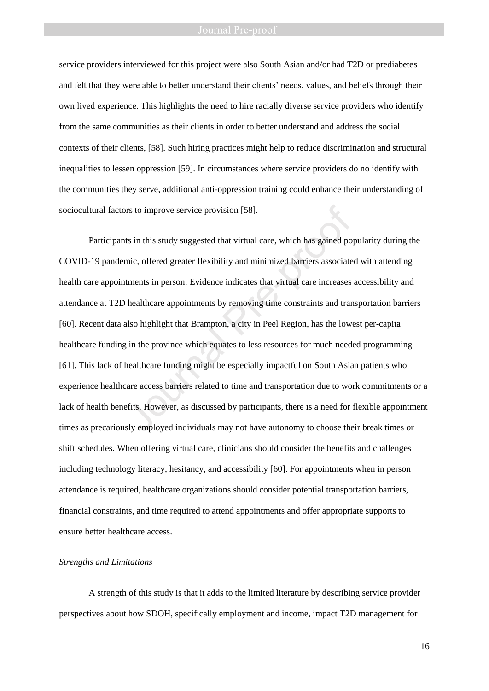service providers interviewed for this project were also South Asian and/or had T2D or prediabetes and felt that they were able to better understand their clients' needs, values, and beliefs through their own lived experience. This highlights the need to hire racially diverse service providers who identify from the same communities as their clients in order to better understand and address the social contexts of their clients, [58]. Such hiring practices might help to reduce discrimination and structural inequalities to lessen oppression [59]. In circumstances where service providers do no identify with the communities they serve, additional anti-oppression training could enhance their understanding of sociocultural factors to improve service provision [58].

Participants in this study suggested that virtual care, which has gained popularity during the COVID-19 pandemic, offered greater flexibility and minimized barriers associated with attending health care appointments in person. Evidence indicates that virtual care increases accessibility and attendance at T2D healthcare appointments by removing time constraints and transportation barriers [60]. Recent data also highlight that Brampton, a city in Peel Region, has the lowest per-capita healthcare funding in the province which equates to less resources for much needed programming [61]. This lack of healthcare funding might be especially impactful on South Asian patients who experience healthcare access barriers related to time and transportation due to work commitments or a lack of health benefits. However, as discussed by participants, there is a need for flexible appointment times as precariously employed individuals may not have autonomy to choose their break times or shift schedules. When offering virtual care, clinicians should consider the benefits and challenges including technology literacy, hesitancy, and accessibility [60]. For appointments when in person attendance is required, healthcare organizations should consider potential transportation barriers, financial constraints, and time required to attend appointments and offer appropriate supports to ensure better healthcare access. or improve service provision [58].<br>
Its in this study suggested that virtual care, which has gained po<br>
mic, offered greater flexibility and minimized barriers associate<br>
ttments in person. Evidence indicates that virtual

### *Strengths and Limitations*

A strength of this study is that it adds to the limited literature by describing service provider perspectives about how SDOH, specifically employment and income, impact T2D management for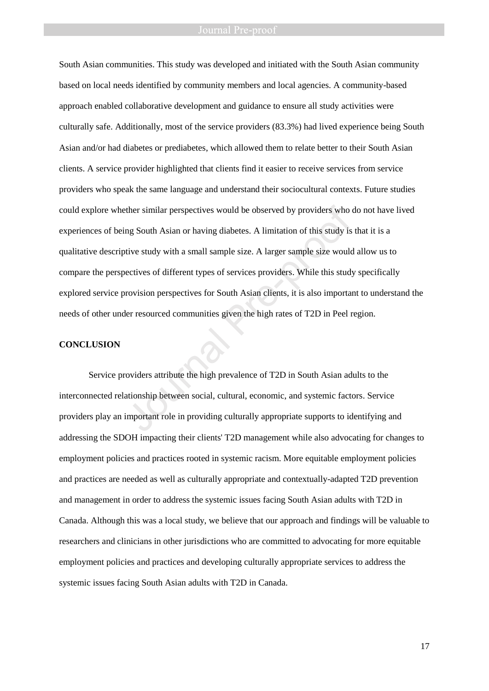South Asian communities. This study was developed and initiated with the South Asian community based on local needs identified by community members and local agencies. A community-based approach enabled collaborative development and guidance to ensure all study activities were culturally safe. Additionally, most of the service providers (83.3%) had lived experience being South Asian and/or had diabetes or prediabetes, which allowed them to relate better to their South Asian clients. A service provider highlighted that clients find it easier to receive services from service providers who speak the same language and understand their sociocultural contexts. Future studies could explore whether similar perspectives would be observed by providers who do not have lived experiences of being South Asian or having diabetes. A limitation of this study is that it is a qualitative descriptive study with a small sample size. A larger sample size would allow us to compare the perspectives of different types of services providers. While this study specifically explored service provision perspectives for South Asian clients, it is also important to understand the needs of other under resourced communities given the high rates of T2D in Peel region. ther similar perspectives would be observed by providers who on measurements of this study is the study with a small sample size. A larger sample size would be observed by the study is the study with a small sample size. A

### **CONCLUSION**

Service providers attribute the high prevalence of T2D in South Asian adults to the interconnected relationship between social, cultural, economic, and systemic factors. Service providers play an important role in providing culturally appropriate supports to identifying and addressing the SDOH impacting their clients' T2D management while also advocating for changes to employment policies and practices rooted in systemic racism. More equitable employment policies and practices are needed as well as culturally appropriate and contextually-adapted T2D prevention and management in order to address the systemic issues facing South Asian adults with T2D in Canada. Although this was a local study, we believe that our approach and findings will be valuable to researchers and clinicians in other jurisdictions who are committed to advocating for more equitable employment policies and practices and developing culturally appropriate services to address the systemic issues facing South Asian adults with T2D in Canada.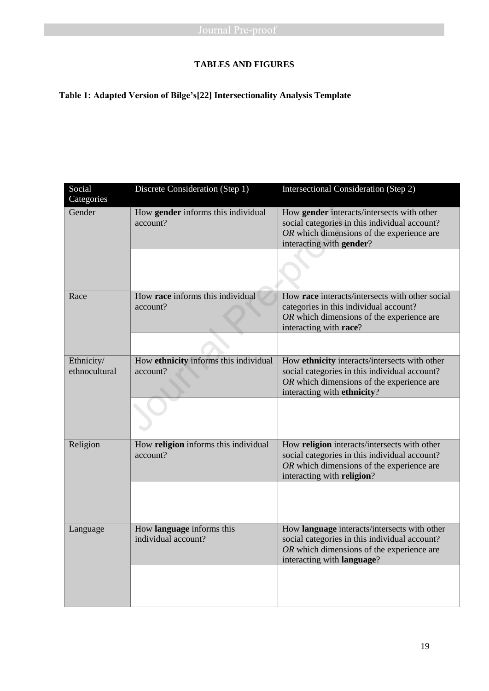## **TABLES AND FIGURES**

## **Table 1: Adapted Version of Bilge's[22] Intersectionality Analysis Template**

| Social<br>Categories        | Discrete Consideration (Step 1)                   | Intersectional Consideration (Step 2)                                                                                                                                      |
|-----------------------------|---------------------------------------------------|----------------------------------------------------------------------------------------------------------------------------------------------------------------------------|
| Gender                      | How gender informs this individual<br>account?    | How gender interacts/intersects with other<br>social categories in this individual account?<br>OR which dimensions of the experience are<br>interacting with gender?       |
| Race                        | How race informs this individual<br>account?      | How race interacts/intersects with other social<br>categories in this individual account?<br>OR which dimensions of the experience are<br>interacting with race?           |
|                             |                                                   |                                                                                                                                                                            |
| Ethnicity/<br>ethnocultural | How ethnicity informs this individual<br>account? | How ethnicity interacts/intersects with other<br>social categories in this individual account?<br>OR which dimensions of the experience are<br>interacting with ethnicity? |
|                             |                                                   |                                                                                                                                                                            |
| Religion                    | How religion informs this individual<br>account?  | How religion interacts/intersects with other<br>social categories in this individual account?<br>OR which dimensions of the experience are<br>interacting with religion?   |
|                             |                                                   |                                                                                                                                                                            |
| Language                    | How language informs this<br>individual account?  | How language interacts/intersects with other<br>social categories in this individual account?<br>OR which dimensions of the experience are<br>interacting with language?   |
|                             |                                                   |                                                                                                                                                                            |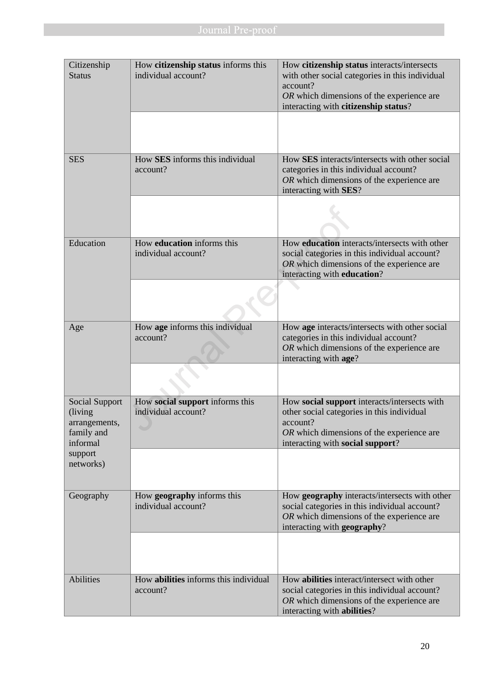| Citizenship<br><b>Status</b>                                          | How citizenship status informs this<br>individual account? | How citizenship status interacts/intersects<br>with other social categories in this individual<br>account?<br>OR which dimensions of the experience are<br>interacting with citizenship status? |
|-----------------------------------------------------------------------|------------------------------------------------------------|-------------------------------------------------------------------------------------------------------------------------------------------------------------------------------------------------|
|                                                                       |                                                            |                                                                                                                                                                                                 |
| <b>SES</b>                                                            | How SES informs this individual<br>account?                | How SES interacts/intersects with other social<br>categories in this individual account?<br>OR which dimensions of the experience are<br>interacting with SES?                                  |
|                                                                       |                                                            |                                                                                                                                                                                                 |
| Education                                                             | How education informs this<br>individual account?          | How <b>education</b> interacts/intersects with other<br>social categories in this individual account?<br>OR which dimensions of the experience are<br>interacting with education?               |
|                                                                       |                                                            |                                                                                                                                                                                                 |
| Age                                                                   | How age informs this individual<br>account?                | How age interacts/intersects with other social<br>categories in this individual account?<br>OR which dimensions of the experience are<br>interacting with age?                                  |
|                                                                       |                                                            |                                                                                                                                                                                                 |
| Social Support<br>(living)<br>arrangements,<br>family and<br>informal | How social support informs this<br>individual account?     | How social support interacts/intersects with<br>other social categories in this individual<br>account?<br>OR which dimensions of the experience are<br>interacting with social support?         |
| support<br>networks)                                                  |                                                            |                                                                                                                                                                                                 |
| Geography                                                             | How geography informs this<br>individual account?          | How geography interacts/intersects with other<br>social categories in this individual account?<br>OR which dimensions of the experience are<br>interacting with geography?                      |
|                                                                       |                                                            |                                                                                                                                                                                                 |
| Abilities                                                             | How abilities informs this individual<br>account?          | How abilities interact/intersect with other<br>social categories in this individual account?<br>OR which dimensions of the experience are<br>interacting with abilities?                        |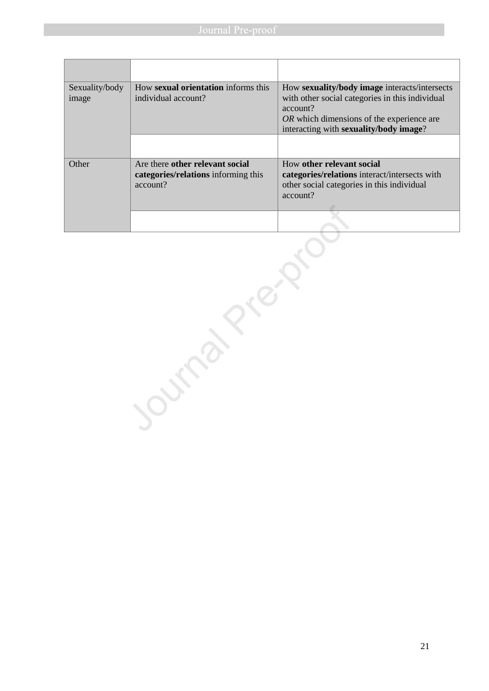| Sexuality/body<br>image | How sexual orientation informs this<br>individual account?                         | How sexuality/body image interacts/intersects<br>with other social categories in this individual<br>account?<br><i>OR</i> which dimensions of the experience are<br>interacting with sexuality/body image? |
|-------------------------|------------------------------------------------------------------------------------|------------------------------------------------------------------------------------------------------------------------------------------------------------------------------------------------------------|
|                         |                                                                                    |                                                                                                                                                                                                            |
| Other                   | Are there other relevant social<br>categories/relations informing this<br>account? | How other relevant social<br>categories/relations interact/intersects with<br>other social categories in this individual<br>account?                                                                       |
|                         |                                                                                    |                                                                                                                                                                                                            |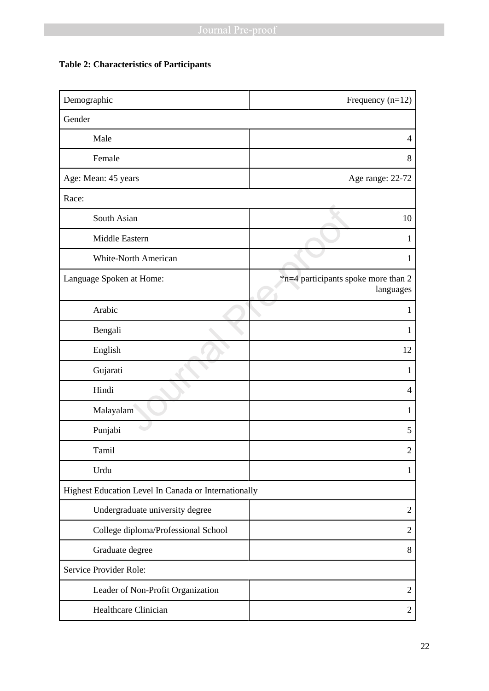## **Table 2: Characteristics of Participants**

| Demographic                                          | Frequency $(n=12)$                               |  |
|------------------------------------------------------|--------------------------------------------------|--|
| Gender                                               |                                                  |  |
| Male                                                 | 4                                                |  |
| Female                                               | 8                                                |  |
| Age: Mean: 45 years                                  | Age range: 22-72                                 |  |
| Race:                                                |                                                  |  |
| South Asian                                          | 10                                               |  |
| Middle Eastern                                       | 1                                                |  |
| <b>White-North American</b>                          | $\mathbf{1}$                                     |  |
| Language Spoken at Home:                             | *n=4 participants spoke more than 2<br>languages |  |
| Arabic                                               | $\mathbf{1}$                                     |  |
| Bengali                                              | 1                                                |  |
| English                                              | 12                                               |  |
| Gujarati                                             | 1                                                |  |
| Hindi                                                | 4                                                |  |
| Malayalam                                            | 1                                                |  |
| Punjabi                                              | 5                                                |  |
| Tamil                                                | $\overline{c}$                                   |  |
| Urdu                                                 | 1                                                |  |
| Highest Education Level In Canada or Internationally |                                                  |  |
| Undergraduate university degree                      | $\overline{2}$                                   |  |
| College diploma/Professional School                  | $\overline{2}$                                   |  |
| Graduate degree                                      | 8                                                |  |
| Service Provider Role:                               |                                                  |  |
| Leader of Non-Profit Organization                    | $\overline{2}$                                   |  |
| Healthcare Clinician                                 | 2                                                |  |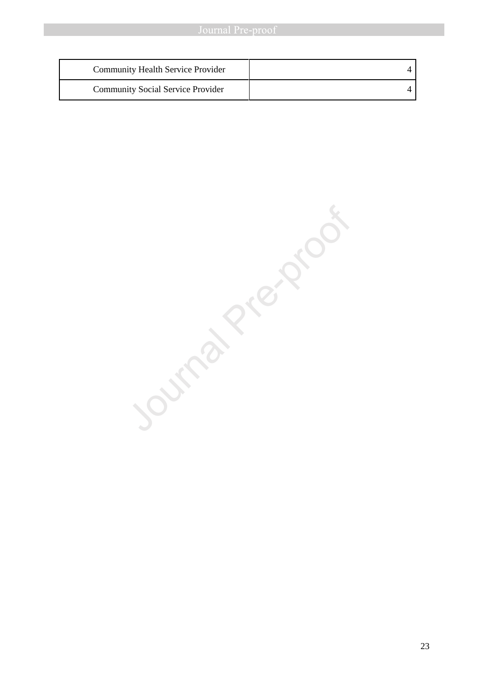| <b>Community Health Service Provider</b> |  |
|------------------------------------------|--|
| <b>Community Social Service Provider</b> |  |

Journal Pre-proof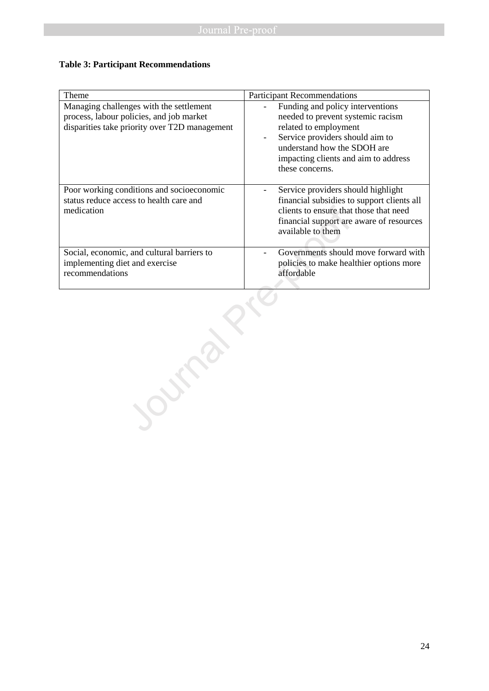### **Table 3: Participant Recommendations**

| Theme                                                                                                                                | <b>Participant Recommendations</b>                                                                                                                                                                                          |
|--------------------------------------------------------------------------------------------------------------------------------------|-----------------------------------------------------------------------------------------------------------------------------------------------------------------------------------------------------------------------------|
| Managing challenges with the settlement<br>process, labour policies, and job market<br>disparities take priority over T2D management | Funding and policy interventions<br>needed to prevent systemic racism<br>related to employment<br>Service providers should aim to<br>understand how the SDOH are<br>impacting clients and aim to address<br>these concerns. |
| Poor working conditions and socioeconomic<br>status reduce access to health care and<br>medication                                   | Service providers should highlight<br>financial subsidies to support clients all<br>clients to ensure that those that need<br>financial support are aware of resources<br>available to them                                 |
| Social, economic, and cultural barriers to<br>implementing diet and exercise<br>recommendations                                      | Governments should move forward with<br>policies to make healthier options more<br>affordable                                                                                                                               |
|                                                                                                                                      |                                                                                                                                                                                                                             |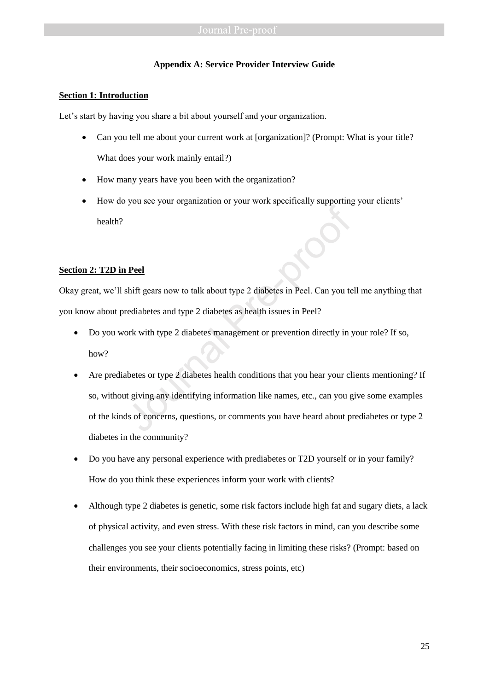### **Appendix A: Service Provider Interview Guide**

### **Section 1: Introduction**

Let's start by having you share a bit about yourself and your organization.

- Can you tell me about your current work at [organization]? (Prompt: What is your title? What does your work mainly entail?)
- How many years have you been with the organization?
- How do you see your organization or your work specifically supporting your clients' health?

### **Section 2: T2D in Peel**

Okay great, we'll shift gears now to talk about type 2 diabetes in Peel. Can you tell me anything that you know about prediabetes and type 2 diabetes as health issues in Peel?

- Do you work with type 2 diabetes management or prevention directly in your role? If so, how?
- Are prediabetes or type 2 diabetes health conditions that you hear your clients mentioning? If so, without giving any identifying information like names, etc., can you give some examples of the kinds of concerns, questions, or comments you have heard about prediabetes or type 2 diabetes in the community? Pread<br>
Shift gears now to talk about type 2 diabetes in Peel. Can you te<br>
rediabetes and type 2 diabetes as health issues in Peel?<br>
ork with type 2 diabetes management or prevention directly in y<br>
abetes or type 2 diabetes
- Do you have any personal experience with prediabetes or T2D yourself or in your family? How do you think these experiences inform your work with clients?
- Although type 2 diabetes is genetic, some risk factors include high fat and sugary diets, a lack of physical activity, and even stress. With these risk factors in mind, can you describe some challenges you see your clients potentially facing in limiting these risks? (Prompt: based on their environments, their socioeconomics, stress points, etc)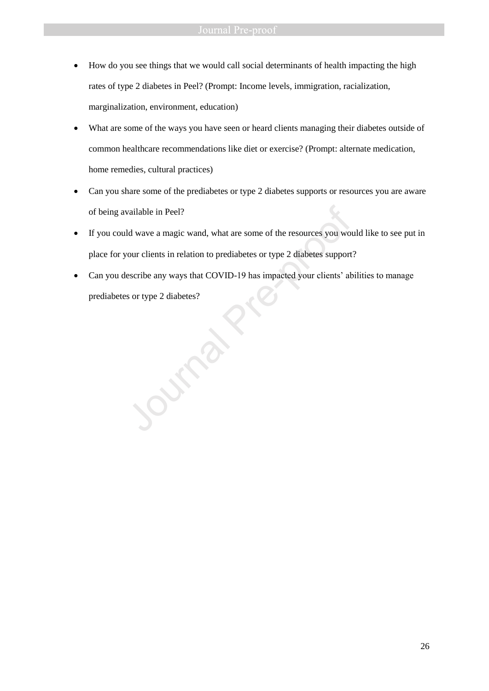- How do you see things that we would call social determinants of health impacting the high rates of type 2 diabetes in Peel? (Prompt: Income levels, immigration, racialization, marginalization, environment, education)
- What are some of the ways you have seen or heard clients managing their diabetes outside of common healthcare recommendations like diet or exercise? (Prompt: alternate medication, home remedies, cultural practices)
- Can you share some of the prediabetes or type 2 diabetes supports or resources you are aware of being available in Peel?
- If you could wave a magic wand, what are some of the resources you would like to see put in place for your clients in relation to prediabetes or type 2 diabetes support? of being available in Peel?<br>If you could wave a magic wand, what are some of the resources you wor<br>place for your clients in relation to prediabetes or type 2 diabetes support<br>Can you describe any ways that COVID-19 has im
- Can you describe any ways that COVID-19 has impacted your clients' abilities to manage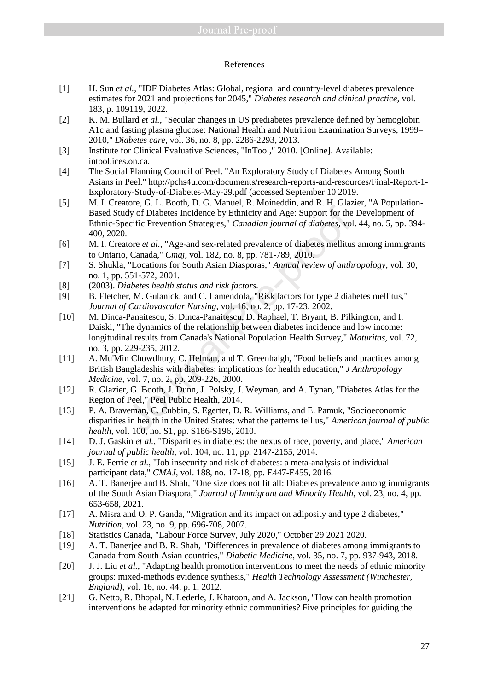### References

- [1] H. Sun *et al.*, "IDF Diabetes Atlas: Global, regional and country-level diabetes prevalence estimates for 2021 and projections for 2045," *Diabetes research and clinical practice,* vol. 183, p. 109119, 2022.
- [2] K. M. Bullard *et al.*, "Secular changes in US prediabetes prevalence defined by hemoglobin A1c and fasting plasma glucose: National Health and Nutrition Examination Surveys, 1999– 2010," *Diabetes care,* vol. 36, no. 8, pp. 2286-2293, 2013.
- [3] Institute for Clinical Evaluative Sciences, "InTool," 2010. [Online]. Available: intool.ices.on.ca.
- [4] The Social Planning Council of Peel. "An Exploratory Study of Diabetes Among South Asians in Peel." http://pchs4u.com/documents/research-reports-and-resources/Final-Report-1- Exploratory-Study-of-Diabetes-May-29.pdf (accessed September 10 2019.
- [5] M. I. Creatore, G. L. Booth, D. G. Manuel, R. Moineddin, and R. H. Glazier, "A Population-Based Study of Diabetes Incidence by Ethnicity and Age: Support for the Development of Ethnic-Specific Prevention Strategies," *Canadian journal of diabetes,* vol. 44, no. 5, pp. 394- 400, 2020.
- [6] M. I. Creatore *et al.*, "Age-and sex-related prevalence of diabetes mellitus among immigrants to Ontario, Canada," *Cmaj,* vol. 182, no. 8, pp. 781-789, 2010.
- [7] S. Shukla, "Locations for South Asian Diasporas," *Annual review of anthropology,* vol. 30, no. 1, pp. 551-572, 2001.
- [8] (2003). *Diabetes health status and risk factors.*
- [9] B. Fletcher, M. Gulanick, and C. Lamendola, "Risk factors for type 2 diabetes mellitus," *Journal of Cardiovascular Nursing,* vol. 16, no. 2, pp. 17-23, 2002.
- [10] M. Dinca-Panaitescu, S. Dinca-Panaitescu, D. Raphael, T. Bryant, B. Pilkington, and I. Daiski, "The dynamics of the relationship between diabetes incidence and low income: longitudinal results from Canada's National Population Health Survey," *Maturitas,* vol. 72, no. 3, pp. 229-235, 2012. Move, O. E. Doom, D. C. Hammel, W. P. C. Hammel, and A. Theorem, C. C. Doom, T. C. D. C. Then and A. Therefore by Ethnicity and Age: Support for the ecific Prevention Strategies," *Canadian journal of diabetes*, vol.<br>
1. C
- [11] A. Mu'Min Chowdhury, C. Helman, and T. Greenhalgh, "Food beliefs and practices among British Bangladeshis with diabetes: implications for health education," *J Anthropology Medicine,* vol. 7, no. 2, pp. 209-226, 2000.
- [12] R. Glazier, G. Booth, J. Dunn, J. Polsky, J. Weyman, and A. Tynan, "Diabetes Atlas for the Region of Peel," Peel Public Health, 2014.
- [13] P. A. Braveman, C. Cubbin, S. Egerter, D. R. Williams, and E. Pamuk, "Socioeconomic disparities in health in the United States: what the patterns tell us," *American journal of public health,* vol. 100, no. S1, pp. S186-S196, 2010.
- [14] D. J. Gaskin *et al.*, "Disparities in diabetes: the nexus of race, poverty, and place," *American journal of public health,* vol. 104, no. 11, pp. 2147-2155, 2014.
- [15] J. E. Ferrie *et al.*, "Job insecurity and risk of diabetes: a meta-analysis of individual participant data," *CMAJ,* vol. 188, no. 17-18, pp. E447-E455, 2016.
- [16] A. T. Banerjee and B. Shah, "One size does not fit all: Diabetes prevalence among immigrants of the South Asian Diaspora," *Journal of Immigrant and Minority Health,* vol. 23, no. 4, pp. 653-658, 2021.
- [17] A. Misra and O. P. Ganda, "Migration and its impact on adiposity and type 2 diabetes," *Nutrition,* vol. 23, no. 9, pp. 696-708, 2007.
- [18] Statistics Canada, "Labour Force Survey, July 2020," October 29 2021 2020.
- [19] A. T. Banerjee and B. R. Shah, "Differences in prevalence of diabetes among immigrants to Canada from South Asian countries," *Diabetic Medicine,* vol. 35, no. 7, pp. 937-943, 2018.
- [20] J. J. Liu *et al.*, "Adapting health promotion interventions to meet the needs of ethnic minority groups: mixed-methods evidence synthesis," *Health Technology Assessment (Winchester, England),* vol. 16, no. 44, p. 1, 2012.
- [21] G. Netto, R. Bhopal, N. Lederle, J. Khatoon, and A. Jackson, "How can health promotion interventions be adapted for minority ethnic communities? Five principles for guiding the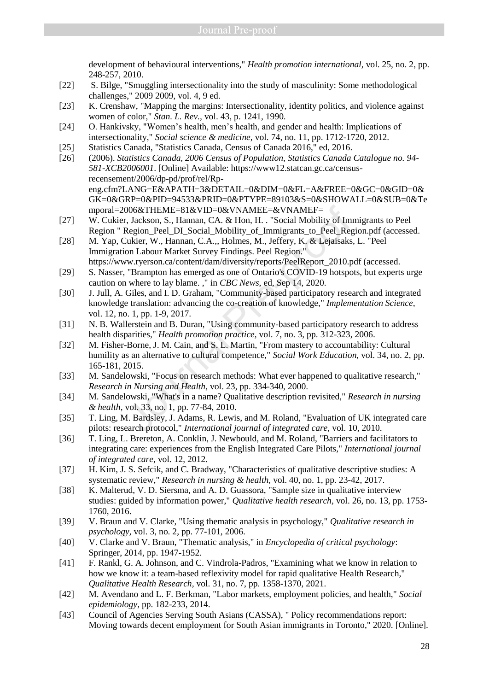development of behavioural interventions," *Health promotion international,* vol. 25, no. 2, pp. 248-257, 2010.

- [22] S. Bilge, "Smuggling intersectionality into the study of masculinity: Some methodological challenges," 2009 2009, vol. 4, 9 ed.
- [23] K. Crenshaw, "Mapping the margins: Intersectionality, identity politics, and violence against women of color," *Stan. L. Rev.,* vol. 43, p. 1241, 1990.
- [24] O. Hankivsky, "Women's health, men's health, and gender and health: Implications of intersectionality," *Social science & medicine,* vol. 74, no. 11, pp. 1712-1720, 2012.
- [25] Statistics Canada, "Statistics Canada, Census of Canada 2016," ed, 2016.
- [26] (2006). *Statistics Canada, 2006 Census of Population, Statistics Canada Catalogue no. 94- 581-XCB2006001*. [Online] Available: https://www12.statcan.gc.ca/censusrecensement/2006/dp-pd/prof/rel/Rpeng.cfm?LANG=E&APATH=3&DETAIL=0&DIM=0&FL=A&FREE=0&GC=0&GID=0& GK=0&GRP=0&PID=94533&PRID=0&PTYPE=89103&S=0&SHOWALL=0&SUB=0&Te mporal=2006&THEME=81&VID=0&VNAMEE=&VNAMEF=
- [27] W. Cukier, Jackson, S., Hannan, CA. & Hon, H. . "Social Mobility of Immigrants to Peel Region " Region Peel DI Social Mobility of Immigrants to Peel Region.pdf (accessed.
- [28] M. Yap, Cukier, W., Hannan, C.A.,, Holmes, M., Jeffery, K. & Lejaisaks, L. "Peel Immigration Labour Market Survey Findings. Peel Region." https://www.ryerson.ca/content/dam/diversity/reports/PeelReport\_2010.pdf (accessed.
- [29] S. Nasser, "Brampton has emerged as one of Ontario's COVID-19 hotspots, but experts urge caution on where to lay blame. ," in *CBC News*, ed, Sep 14, 2020.
- [30] J. Jull, A. Giles, and I. D. Graham, "Community-based participatory research and integrated knowledge translation: advancing the co-creation of knowledge," *Implementation Science,*  vol. 12, no. 1, pp. 1-9, 2017. 006&THEME=81&VID=0&VNAMEE=&VNAMEF=<br>
r, Jackson, S., Hannan, CA. & Hon, H. . "Social Mobility of Im<br>
Region\_Peel\_DI\_Social\_Mobility\_of\_Immigrants\_to\_Peel\_Reg<br>
20tkier, W., Hannan, C.A.,, Holmes, M., Jeffery, K. & Lejaisaks<br>
- [31] N. B. Wallerstein and B. Duran, "Using community-based participatory research to address health disparities," *Health promotion practice,* vol. 7, no. 3, pp. 312-323, 2006.
- [32] M. Fisher-Borne, J. M. Cain, and S. L. Martin, "From mastery to accountability: Cultural humility as an alternative to cultural competence," *Social Work Education,* vol. 34, no. 2, pp. 165-181, 2015.
- [33] M. Sandelowski, "Focus on research methods: What ever happened to qualitative research," *Research in Nursing and Health,* vol. 23, pp. 334-340, 2000.
- [34] M. Sandelowski, "What's in a name? Qualitative description revisited," *Research in nursing & health,* vol. 33, no. 1, pp. 77-84, 2010.
- [35] T. Ling, M. Bardsley, J. Adams, R. Lewis, and M. Roland, "Evaluation of UK integrated care pilots: research protocol," *International journal of integrated care,* vol. 10, 2010.
- [36] T. Ling, L. Brereton, A. Conklin, J. Newbould, and M. Roland, "Barriers and facilitators to integrating care: experiences from the English Integrated Care Pilots," *International journal of integrated care,* vol. 12, 2012.
- [37] H. Kim, J. S. Sefcik, and C. Bradway, "Characteristics of qualitative descriptive studies: A systematic review," *Research in nursing & health,* vol. 40, no. 1, pp. 23-42, 2017.
- [38] K. Malterud, V. D. Siersma, and A. D. Guassora, "Sample size in qualitative interview studies: guided by information power," *Qualitative health research,* vol. 26, no. 13, pp. 1753- 1760, 2016.
- [39] V. Braun and V. Clarke, "Using thematic analysis in psychology," *Qualitative research in psychology,* vol. 3, no. 2, pp. 77-101, 2006.
- [40] V. Clarke and V. Braun, "Thematic analysis," in *Encyclopedia of critical psychology*: Springer, 2014, pp. 1947-1952.
- [41] F. Rankl, G. A. Johnson, and C. Vindrola-Padros, "Examining what we know in relation to how we know it: a team-based reflexivity model for rapid qualitative Health Research," *Qualitative Health Research,* vol. 31, no. 7, pp. 1358-1370, 2021.
- [42] M. Avendano and L. F. Berkman, "Labor markets, employment policies, and health," *Social epidemiology,* pp. 182-233, 2014.
- [43] Council of Agencies Serving South Asians (CASSA), " Policy recommendations report: Moving towards decent employment for South Asian immigrants in Toronto," 2020. [Online].